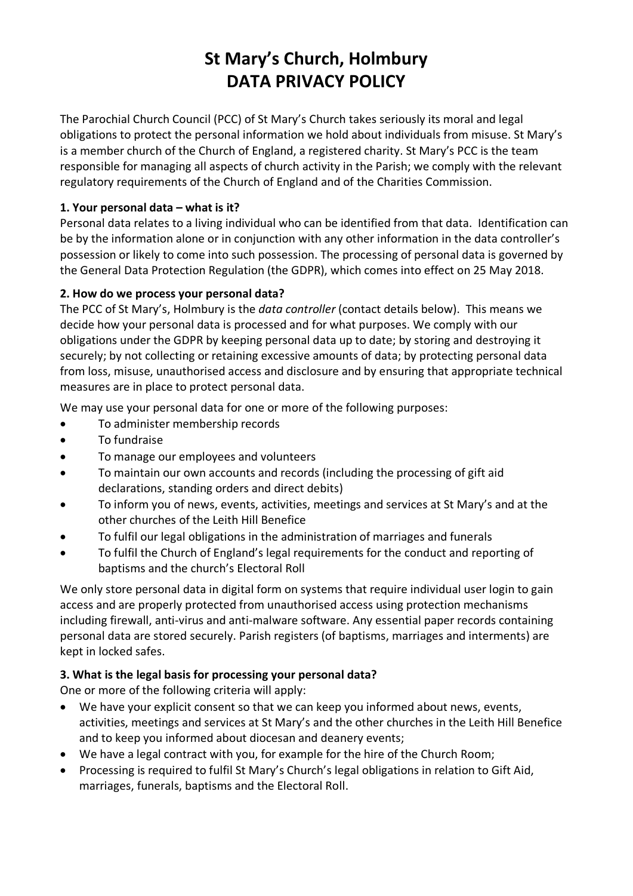# **St Mary's Church, Holmbury DATA PRIVACY POLICY**

The Parochial Church Council (PCC) of St Mary's Church takes seriously its moral and legal obligations to protect the personal information we hold about individuals from misuse. St Mary's is a member church of the Church of England, a registered charity. St Mary's PCC is the team responsible for managing all aspects of church activity in the Parish; we comply with the relevant regulatory requirements of the Church of England and of the Charities Commission.

## **1. Your personal data – what is it?**

Personal data relates to a living individual who can be identified from that data. Identification can be by the information alone or in conjunction with any other information in the data controller's possession or likely to come into such possession. The processing of personal data is governed by the General Data Protection Regulation (the GDPR), which comes into effect on 25 May 2018.

## **2. How do we process your personal data?**

The PCC of St Mary's, Holmbury is the *data controller* (contact details below). This means we decide how your personal data is processed and for what purposes. We comply with our obligations under the GDPR by keeping personal data up to date; by storing and destroying it securely; by not collecting or retaining excessive amounts of data; by protecting personal data from loss, misuse, unauthorised access and disclosure and by ensuring that appropriate technical measures are in place to protect personal data.

We may use your personal data for one or more of the following purposes:

- To administer membership records
- To fundraise
- To manage our employees and volunteers
- To maintain our own accounts and records (including the processing of gift aid declarations, standing orders and direct debits)
- To inform you of news, events, activities, meetings and services at St Mary's and at the other churches of the Leith Hill Benefice
- To fulfil our legal obligations in the administration of marriages and funerals
- To fulfil the Church of England's legal requirements for the conduct and reporting of baptisms and the church's Electoral Roll

We only store personal data in digital form on systems that require individual user login to gain access and are properly protected from unauthorised access using protection mechanisms including firewall, anti-virus and anti-malware software. Any essential paper records containing personal data are stored securely. Parish registers (of baptisms, marriages and interments) are kept in locked safes.

# **3. What is the legal basis for processing your personal data?**

One or more of the following criteria will apply:

- We have your explicit consent so that we can keep you informed about news, events, activities, meetings and services at St Mary's and the other churches in the Leith Hill Benefice and to keep you informed about diocesan and deanery events;
- We have a legal contract with you, for example for the hire of the Church Room;
- Processing is required to fulfil St Mary's Church's legal obligations in relation to Gift Aid, marriages, funerals, baptisms and the Electoral Roll.